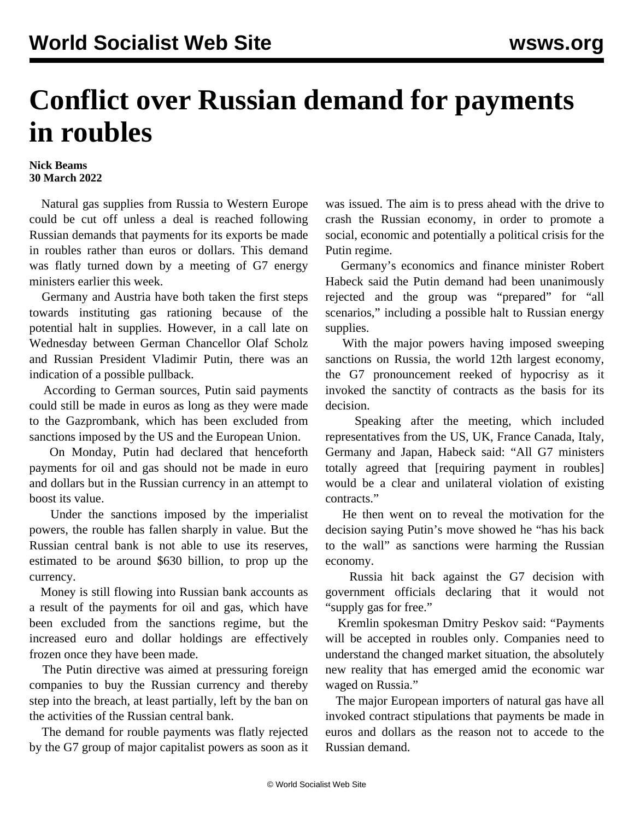## **Conflict over Russian demand for payments in roubles**

## **Nick Beams 30 March 2022**

 Natural gas supplies from Russia to Western Europe could be cut off unless a deal is reached following Russian demands that payments for its exports be made in roubles rather than euros or dollars. This demand was flatly turned down by a meeting of G7 energy ministers earlier this week.

 Germany and Austria have both taken the first steps towards instituting gas rationing because of the potential halt in supplies. However, in a call late on Wednesday between German Chancellor Olaf Scholz and Russian President Vladimir Putin, there was an indication of a possible pullback.

 According to German sources, Putin said payments could still be made in euros as long as they were made to the Gazprombank, which has been excluded from sanctions imposed by the US and the European Union.

 On Monday, Putin had declared that henceforth payments for oil and gas should not be made in euro and dollars but in the Russian currency in an attempt to boost its value.

 Under the sanctions imposed by the imperialist powers, the rouble has fallen sharply in value. But the Russian central bank is not able to use its reserves, estimated to be around \$630 billion, to prop up the currency.

 Money is still flowing into Russian bank accounts as a result of the payments for oil and gas, which have been excluded from the sanctions regime, but the increased euro and dollar holdings are effectively frozen once they have been made.

 The Putin directive was aimed at pressuring foreign companies to buy the Russian currency and thereby step into the breach, at least partially, left by the ban on the activities of the Russian central bank.

 The demand for rouble payments was flatly rejected by the G7 group of major capitalist powers as soon as it was issued. The aim is to press ahead with the drive to crash the Russian economy, in order to promote a social, economic and potentially a political crisis for the Putin regime.

 Germany's economics and finance minister Robert Habeck said the Putin demand had been unanimously rejected and the group was "prepared" for "all scenarios," including a possible halt to Russian energy supplies.

 With the major powers having imposed sweeping sanctions on Russia, the world 12th largest economy, the G7 pronouncement reeked of hypocrisy as it invoked the sanctity of contracts as the basis for its decision.

 Speaking after the meeting, which included representatives from the US, UK, France Canada, Italy, Germany and Japan, Habeck said: "All G7 ministers totally agreed that [requiring payment in roubles] would be a clear and unilateral violation of existing contracts."

 He then went on to reveal the motivation for the decision saying Putin's move showed he "has his back to the wall" as sanctions were harming the Russian economy.

 Russia hit back against the G7 decision with government officials declaring that it would not "supply gas for free."

 Kremlin spokesman Dmitry Peskov said: "Payments will be accepted in roubles only. Companies need to understand the changed market situation, the absolutely new reality that has emerged amid the economic war waged on Russia."

 The major European importers of natural gas have all invoked contract stipulations that payments be made in euros and dollars as the reason not to accede to the Russian demand.